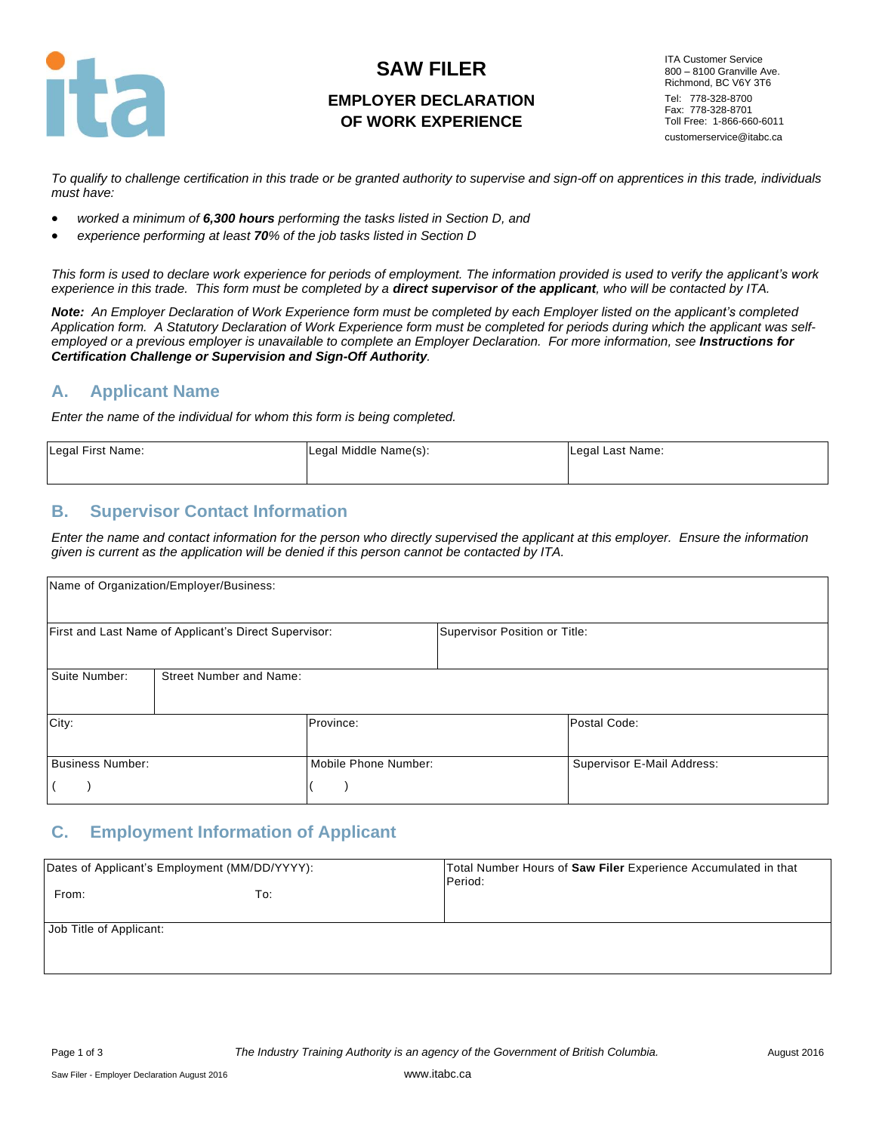

# **SAW FILER EMPLOYER DECLARATION OF WORK EXPERIENCE**

ITA Customer Service 800 – 8100 Granville Ave. Richmond, BC V6Y 3T6 Tel: 778-328-8700 Fax: 778-328-8701 Toll Free: 1-866-660-6011 customerservice@itabc.ca

*To qualify to challenge certification in this trade or be granted authority to supervise and sign-off on apprentices in this trade, individuals must have:*

- *worked a minimum of 6,300 hours performing the tasks listed in Section D, and*
- *experience performing at least 70% of the job tasks listed in Section D*

*This form is used to declare work experience for periods of employment. The information provided is used to verify the applicant's work experience in this trade. This form must be completed by a direct supervisor of the applicant, who will be contacted by ITA.*

*Note: An Employer Declaration of Work Experience form must be completed by each Employer listed on the applicant's completed Application form. A Statutory Declaration of Work Experience form must be completed for periods during which the applicant was selfemployed or a previous employer is unavailable to complete an Employer Declaration. For more information, see Instructions for Certification Challenge or Supervision and Sign-Off Authority.*

#### **A. Applicant Name**

*Enter the name of the individual for whom this form is being completed.*

| Legal First Name: | Legal Middle Name(s): | Legal Last Name: |
|-------------------|-----------------------|------------------|
|                   |                       |                  |

### **B. Supervisor Contact Information**

*Enter the name and contact information for the person who directly supervised the applicant at this employer. Ensure the information given is current as the application will be denied if this person cannot be contacted by ITA.*

|                         | Name of Organization/Employer/Business:               |                      |                               |                            |
|-------------------------|-------------------------------------------------------|----------------------|-------------------------------|----------------------------|
|                         | First and Last Name of Applicant's Direct Supervisor: |                      | Supervisor Position or Title: |                            |
| Suite Number:           | <b>Street Number and Name:</b>                        |                      |                               |                            |
| City:                   |                                                       | Province:            |                               | Postal Code:               |
| <b>Business Number:</b> |                                                       | Mobile Phone Number: |                               | Supervisor E-Mail Address: |

### **C. Employment Information of Applicant**

| Dates of Applicant's Employment (MM/DD/YYYY): |     | Total Number Hours of Saw Filer Experience Accumulated in that<br>Period: |
|-----------------------------------------------|-----|---------------------------------------------------------------------------|
| From:                                         | To: |                                                                           |
| Job Title of Applicant:                       |     |                                                                           |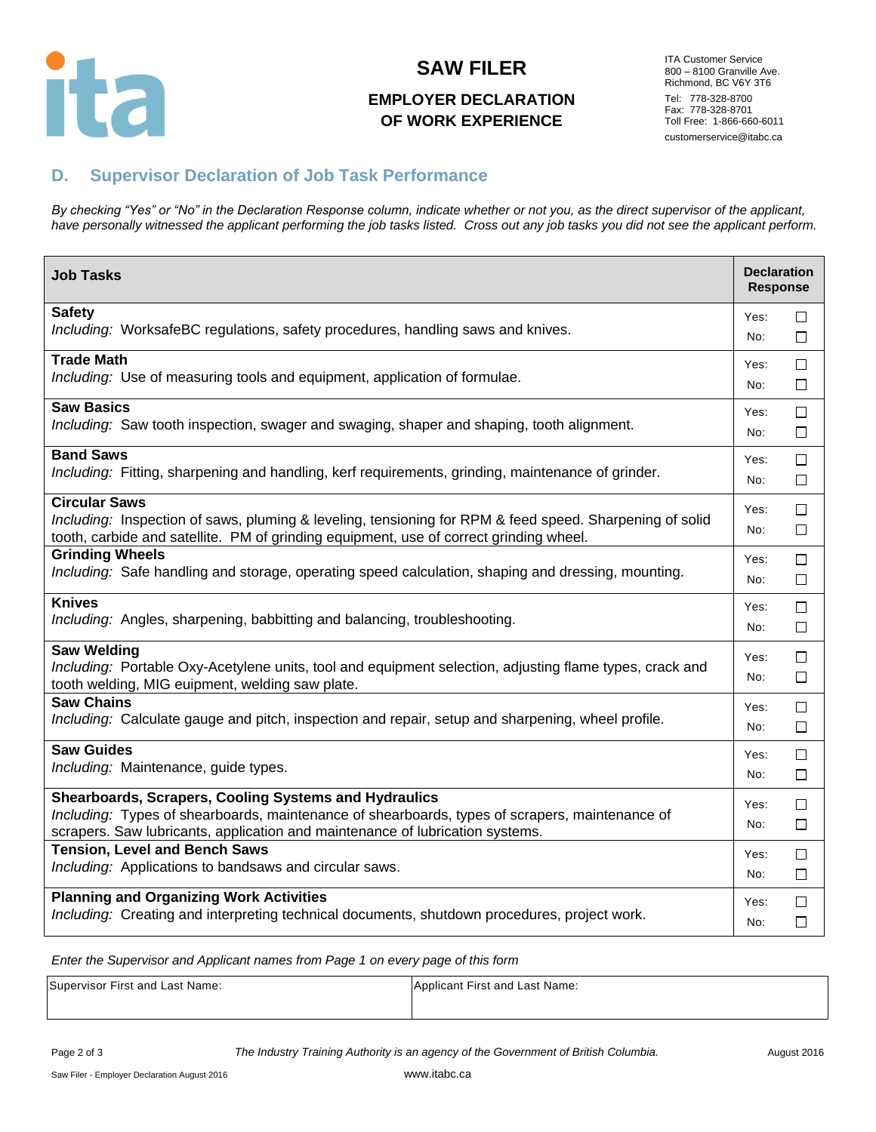

### **SAW FILER**

# **EMPLOYER DECLARATION OF WORK EXPERIENCE**

ITA Customer Service 800 – 8100 Granville Ave. Richmond, BC V6Y 3T6 Tel: 778-328-8700 Fax: 778-328-8701 Toll Free: 1-866-660-6011 customerservice@itabc.ca

# **D. Supervisor Declaration of Job Task Performance**

*By checking "Yes" or "No" in the Declaration Response column, indicate whether or not you, as the direct supervisor of the applicant, have personally witnessed the applicant performing the job tasks listed. Cross out any job tasks you did not see the applicant perform.*

| <b>Job Tasks</b>                                                                                                                                                                                                                         | <b>Declaration</b><br><b>Response</b> |        |
|------------------------------------------------------------------------------------------------------------------------------------------------------------------------------------------------------------------------------------------|---------------------------------------|--------|
| <b>Safety</b>                                                                                                                                                                                                                            | Yes:                                  | П      |
| Including: WorksafeBC regulations, safety procedures, handling saws and knives.                                                                                                                                                          | No:                                   | П      |
| <b>Trade Math</b>                                                                                                                                                                                                                        | Yes:                                  | □      |
| Including: Use of measuring tools and equipment, application of formulae.                                                                                                                                                                | No:                                   | □      |
| <b>Saw Basics</b>                                                                                                                                                                                                                        | Yes:                                  | □      |
| Including: Saw tooth inspection, swager and swaging, shaper and shaping, tooth alignment.                                                                                                                                                | No:                                   | $\Box$ |
| <b>Band Saws</b>                                                                                                                                                                                                                         | Yes:                                  | $\Box$ |
| Including: Fitting, sharpening and handling, kerf requirements, grinding, maintenance of grinder.                                                                                                                                        | No:                                   | □      |
| <b>Circular Saws</b><br>Including: Inspection of saws, pluming & leveling, tensioning for RPM & feed speed. Sharpening of solid<br>tooth, carbide and satellite. PM of grinding equipment, use of correct grinding wheel.                | Yes:<br>No:                           | □<br>□ |
| <b>Grinding Wheels</b>                                                                                                                                                                                                                   | Yes:                                  | □      |
| Including: Safe handling and storage, operating speed calculation, shaping and dressing, mounting.                                                                                                                                       | No:                                   | □      |
| <b>Knives</b>                                                                                                                                                                                                                            | Yes:                                  | □      |
| Including: Angles, sharpening, babbitting and balancing, troubleshooting.                                                                                                                                                                | No:                                   | □      |
| <b>Saw Welding</b><br>Including: Portable Oxy-Acetylene units, tool and equipment selection, adjusting flame types, crack and<br>tooth welding, MIG euipment, welding saw plate.                                                         | Yes:<br>No:                           | □<br>□ |
| <b>Saw Chains</b>                                                                                                                                                                                                                        | Yes:                                  | □      |
| Including: Calculate gauge and pitch, inspection and repair, setup and sharpening, wheel profile.                                                                                                                                        | No:                                   | □      |
| <b>Saw Guides</b>                                                                                                                                                                                                                        | Yes:                                  | $\Box$ |
| Including: Maintenance, guide types.                                                                                                                                                                                                     | No:                                   | □      |
| Shearboards, Scrapers, Cooling Systems and Hydraulics<br>Including: Types of shearboards, maintenance of shearboards, types of scrapers, maintenance of<br>scrapers. Saw lubricants, application and maintenance of lubrication systems. | Yes:<br>No:                           | □<br>□ |
| <b>Tension, Level and Bench Saws</b>                                                                                                                                                                                                     | Yes:                                  | $\Box$ |
| Including: Applications to bandsaws and circular saws.                                                                                                                                                                                   | No:                                   | □      |
| <b>Planning and Organizing Work Activities</b>                                                                                                                                                                                           | Yes:                                  | $\Box$ |
| Including: Creating and interpreting technical documents, shutdown procedures, project work.                                                                                                                                             | No:                                   | $\Box$ |

*Enter the Supervisor and Applicant names from Page 1 on every page of this form*

| Supervisor First and Last Name: | Applicant First and Last Name: |
|---------------------------------|--------------------------------|
|                                 |                                |